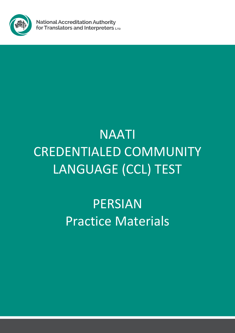

**National Accreditation Authority** for Translators and Interpreters LTD

# NAATI CREDENTIALED COMMUNITY LANGUAGE (CCL) TEST

PERSIAN Practice Materials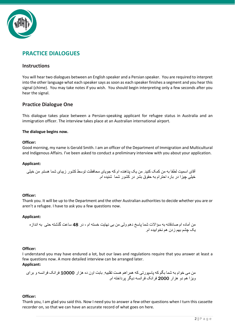

## **PRACTICE DIALOGUES**

## **Instructions**

You will hear two dialogues between an English speaker and a Persian speaker. You are required to interpret into the other language what each speaker says as soon as each speaker finishes a segment and you hear this signal (chime). You may take notes if you wish. You should begin interpreting only a few seconds after you hear the signal.

## **Practice Dialogue One**

This dialogue takes place between a Persian-speaking applicant for refugee status in Australia and an immigration officer. The interview takes place at an Australian international airport.

## **The dialogue begins now.**

## **Officer:**

Good morning, my name is Gerald Smith. I am an officer of the Department of Immigration and Multicultural and Indigenous Affairs. I've been asked to conduct a preliminary interview with you about your application.

## **Applicant:**

آقای اسمیت لطفا به من کمک کنید. من یک پناهنده ام که جویای محافظت توسط کشور زیبای شما هستم. من خیلی خیلی چیزا در باره احترام به حقوق بشر در کشور شما شنیده ام.

## **Officer:**

Thank you. It will be up to the Department and the other Australian authorities to decide whether you are or aren't a refugee. I have to ask you a few questions now.

## **Applicant:**

من آماده ام صادقانه به سؤاالت شما پاسخ دهم ولی من بی نهایت خسته ام ، در 48 ساعت گذشته حتی به اندازه یک چشم بهم زدن هم نخوابیده ام.

## **Officer:**

I understand you may have endured a lot, but our laws and regulations require that you answer at least a few questions now. A more detailed interview can be arranged later. **Applicant:** 

من می خوام به شما بگم که پاسپورتی که همراهم هست تقلبیه. بابت اون ده هزار 10000 فرانک فرانسه و برای ویزا هم دو هزار 2000 فرانک فرانسه دیگر پرداخته ام.

## **Officer:**

Thank you, I am glad you said this. Now I need you to answer a few other questions when I turn this cassette recorder on, so that we can have an accurate record of what goes on here.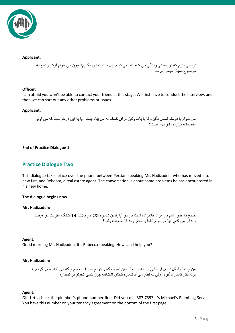

## **Applicant:**

دوستی دارم که در سیدنی زندگی می کنه. آیا می تونم اول با او تماس بگیرم؟ چون می خوام اَ َزش راجع به موضوع بسیار مهمی بپرسم

## **Officer:**

I am afraid you won't be able to contact your friend at this stage. We first have to conduct the interview, and then we can sort out any other problems or issues.

## **Applicant:**

می خوام با دوستم تماس بگیرم تا با یک وکیل برای کمک به من بیاد اینجا. آیا به این درخواست که من اونو منصفانه میدونم، ایرادی هست؟

## **End of Practice Dialogue 1**

## **Practice Dialogue Two**

This dialogue takes place over the phone between Persian-speaking Mr. Hadizadeh, who has moved into a new flat, and Rebecca, a real estate agent. The conversation is about some problems he has encountered in his new home.

## **The dialogue begins now.**

## **Mr. Hadizadeh:**

صبح به خیر. اسم من مراد هادیزاده است من در آپارتمان شماره 22 در پالک 14 کینگ ستریت در فِرفیلد زندگی می کنم. آیا می تونم لطفا با خانم ربه کا صحبت بکنم؟

## **Agent:**

Good morning Mr. Hadizadeh. It's Rebecca speaking. How can I help you?

## **Mr. Hadizadeh:**

من چندتا مشکل دارم. از وقتی من به این آپارتمان اسباب کشی کردم شیر آب حمام چکه می کنه. سعی کردم با لوله کش تماس بگیرم، ولی به نظر می آد شماره تلفنش اشتباهه چون کسی تلفونو بر نمیداره.

## **Agent:**

OK. Let's check the plumber's phone number first. Did you dial 387 735? It's Michael's Plumbing Services. You have this number on your tenancy agreement on the bottom of the first page.